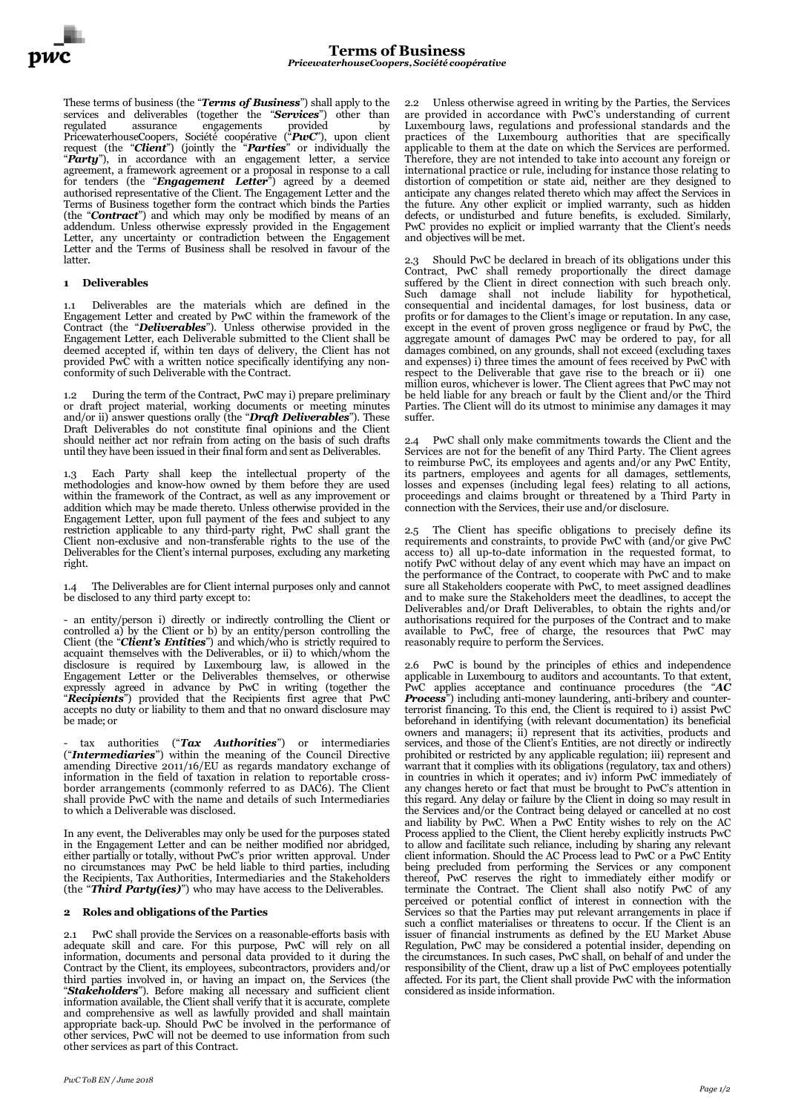These terms of business (the "*Terms of Business*") shall apply to the services and deliverables (together the "*Services*") other than regulated assurance engagements provided by PricewaterhouseCoopers, Société coopérative ("*PwC*"), upon client request (the "*Client*") (jointly the "*Parties*" or individually the "*Party*"), in accordance with an engagement letter, a service agreement, a framework agreement or a proposal in response to a call for tenders (the "*Engagement Letter*") agreed by a deemed authorised representative of the Client. The Engagement Letter and the Terms of Business together form the contract which binds the Parties (the "*Contract*") and which may only be modified by means of an addendum. Unless otherwise expressly provided in the Engagement Letter, any uncertainty or contradiction between the Engagement Letter and the Terms of Business shall be resolved in favour of the latter.

# **1 Deliverables**

1.1 Deliverables are the materials which are defined in the Engagement Letter and created by PwC within the framework of the Contract (the "*Deliverables*"). Unless otherwise provided in the Engagement Letter, each Deliverable submitted to the Client shall be deemed accepted if, within ten days of delivery, the Client has not provided PwC with a written notice specifically identifying any nonconformity of such Deliverable with the Contract.

1.2 During the term of the Contract, PwC may i) prepare preliminary or draft project material, working documents or meeting minutes and/or ii) answer questions orally (the "*Draft Deliverables*"). These Draft Deliverables do not constitute final opinions and the Client should neither act nor refrain from acting on the basis of such drafts until they have been issued in their final form and sent as Deliverables.

1.3 Each Party shall keep the intellectual property of the methodologies and know-how owned by them before they are used within the framework of the Contract, as well as any improvement or addition which may be made thereto. Unless otherwise provided in the Engagement Letter, upon full payment of the fees and subject to any restriction applicable to any third-party right, PwC shall grant the Client non-exclusive and non-transferable rights to the use of the Deliverables for the Client's internal purposes, excluding any marketing right.

1.4 The Deliverables are for Client internal purposes only and cannot be disclosed to any third party except to:

- an entity/person i) directly or indirectly controlling the Client or controlled a) by the Client or b) by an entity/person controlling the Client (the "*Client's Entities*") and which/who is strictly required to acquaint themselves with the Deliverables, or ii) to which/whom the disclosure is required by Luxembourg law, is allowed in the Engagement Letter or the Deliverables themselves, or otherwise expressly agreed in advance by PwC in writing (together the "*Recipients*") provided that the Recipients first agree that PwC accepts no duty or liability to them and that no onward disclosure may be made; or

- tax authorities ("*Tax Authorities*") or intermediaries ("*Intermediaries*") within the meaning of the Council Directive amending Directive 2011/16/EU as regards mandatory exchange of information in the field of taxation in relation to reportable crossborder arrangements (commonly referred to as DAC6). The Client shall provide PwC with the name and details of such Intermediaries to which a Deliverable was disclosed.

In any event, the Deliverables may only be used for the purposes stated in the Engagement Letter and can be neither modified nor abridged, either partially or totally, without PwC's prior written approval. Under no circumstances may PwC be held liable to third parties, including the Recipients, Tax Authorities, Intermediaries and the Stakeholders (the "*Third Party(ies)*") who may have access to the Deliverables.

### **2 Roles and obligations of the Parties**

2.1 PwC shall provide the Services on a reasonable-efforts basis with adequate skill and care. For this purpose, PwC will rely on all information, documents and personal data provided to it during the Contract by the Client, its employees, subcontractors, providers and/or third parties involved in, or having an impact on, the Services (the "*Stakeholders*"). Before making all necessary and sufficient client information available, the Client shall verify that it is accurate, complete and comprehensive as well as lawfully provided and shall maintain appropriate back-up. Should PwC be involved in the performance of other services, PwC will not be deemed to use information from such other services as part of this Contract.

2.2 Unless otherwise agreed in writing by the Parties, the Services are provided in accordance with PwC's understanding of current Luxembourg laws, regulations and professional standards and the practices of the Luxembourg authorities that are specifically applicable to them at the date on which the Services are performed. Therefore, they are not intended to take into account any foreign or international practice or rule, including for instance those relating to distortion of competition or state aid, neither are they designed to anticipate any changes related thereto which may affect the Services in the future. Any other explicit or implied warranty, such as hidden defects, or undisturbed and future benefits, is excluded. Similarly, PwC provides no explicit or implied warranty that the Client's needs and objectives will be met.

2.3 Should PwC be declared in breach of its obligations under this Contract, PwC shall remedy proportionally the direct damage suffered by the Client in direct connection with such breach only. Such damage shall not include liability for hypothetical, consequential and incidental damages, for lost business, data or profits or for damages to the Client's image or reputation. In any case, except in the event of proven gross negligence or fraud by PwC, the aggregate amount of damages PwC may be ordered to pay, for all damages combined, on any grounds, shall not exceed (excluding taxes and expenses) i) three times the amount of fees received by PwC with respect to the Deliverable that gave rise to the breach or ii) one million euros, whichever is lower. The Client agrees that PwC may not be held liable for any breach or fault by the Client and/or the Third Parties. The Client will do its utmost to minimise any damages it may suffer.

PwC shall only make commitments towards the Client and the Services are not for the benefit of any Third Party. The Client agrees to reimburse PwC, its employees and agents and/or any PwC Entity, its partners, employees and agents for all damages, settlements, losses and expenses (including legal fees) relating to all actions, proceedings and claims brought or threatened by a Third Party in connection with the Services, their use and/or disclosure.

2.5 The Client has specific obligations to precisely define its requirements and constraints, to provide PwC with (and/or give PwC access to) all up-to-date information in the requested format, to notify PwC without delay of any event which may have an impact on the performance of the Contract, to cooperate with PwC and to make sure all Stakeholders cooperate with PwC, to meet assigned deadlines and to make sure the Stakeholders meet the deadlines, to accept the Deliverables and/or Draft Deliverables, to obtain the rights and/or authorisations required for the purposes of the Contract and to make available to PwC, free of charge, the resources that PwC may reasonably require to perform the Services.

2.6 PwC is bound by the principles of ethics and independence applicable in Luxembourg to auditors and accountants. To that extent, PwC applies acceptance and continuance procedures (the "*AC Process*") including anti-money laundering, anti-bribery and counterterrorist financing. To this end, the Client is required to i) assist PwC beforehand in identifying (with relevant documentation) its beneficial owners and managers; ii) represent that its activities, products and services, and those of the Client's Entities, are not directly or indirectly prohibited or restricted by any applicable regulation; iii) represent and warrant that it complies with its obligations (regulatory, tax and others) in countries in which it operates; and iv) inform PwC immediately of any changes hereto or fact that must be brought to PwC's attention in this regard. Any delay or failure by the Client in doing so may result in the Services and/or the Contract being delayed or cancelled at no cost and liability by PwC. When a PwC Entity wishes to rely on the AC Process applied to the Client, the Client hereby explicitly instructs PwC to allow and facilitate such reliance, including by sharing any relevant client information. Should the AC Process lead to PwC or a PwC Entity being precluded from performing the Services or any component thereof, PwC reserves the right to immediately either modify or terminate the Contract. The Client shall also notify PwC of any perceived or potential conflict of interest in connection with the Services so that the Parties may put relevant arrangements in place if such a conflict materialises or threatens to occur. If the Client is an issuer of financial instruments as defined by the EU Market Abuse Regulation, PwC may be considered a potential insider, depending on the circumstances. In such cases, PwC shall, on behalf of and under the responsibility of the Client, draw up a list of PwC employees potentially affected. For its part, the Client shall provide PwC with the information considered as inside information.